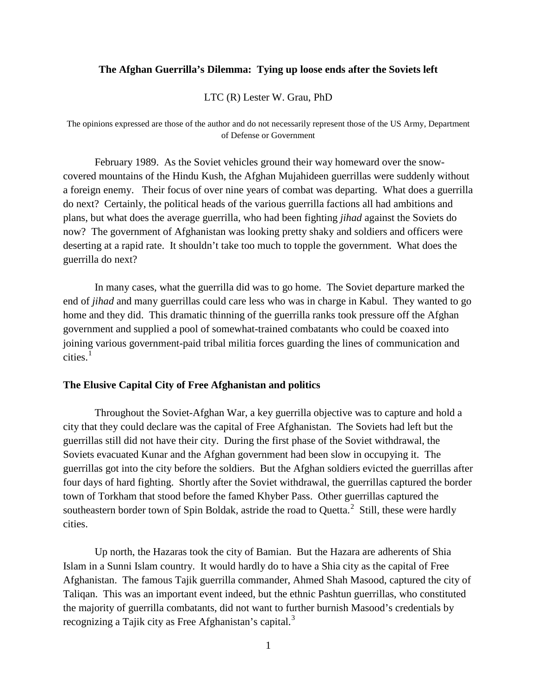### **The Afghan Guerrilla's Dilemma: Tying up loose ends after the Soviets left**

LTC (R) Lester W. Grau, PhD

The opinions expressed are those of the author and do not necessarily represent those of the US Army, Department of Defense or Government

February 1989. As the Soviet vehicles ground their way homeward over the snowcovered mountains of the Hindu Kush, the Afghan Mujahideen guerrillas were suddenly without a foreign enemy. Their focus of over nine years of combat was departing. What does a guerrilla do next? Certainly, the political heads of the various guerrilla factions all had ambitions and plans, but what does the average guerrilla, who had been fighting *jihad* against the Soviets do now? The government of Afghanistan was looking pretty shaky and soldiers and officers were deserting at a rapid rate. It shouldn't take too much to topple the government. What does the guerrilla do next?

In many cases, what the guerrilla did was to go home. The Soviet departure marked the end of *jihad* and many guerrillas could care less who was in charge in Kabul. They wanted to go home and they did. This dramatic thinning of the guerrilla ranks took pressure off the Afghan government and supplied a pool of somewhat-trained combatants who could be coaxed into joining various government-paid tribal militia forces guarding the lines of communication and  $\text{cities.}^1$  $\text{cities.}^1$ 

#### **The Elusive Capital City of Free Afghanistan and politics**

Throughout the Soviet-Afghan War, a key guerrilla objective was to capture and hold a city that they could declare was the capital of Free Afghanistan. The Soviets had left but the guerrillas still did not have their city. During the first phase of the Soviet withdrawal, the Soviets evacuated Kunar and the Afghan government had been slow in occupying it. The guerrillas got into the city before the soldiers. But the Afghan soldiers evicted the guerrillas after four days of hard fighting. Shortly after the Soviet withdrawal, the guerrillas captured the border town of Torkham that stood before the famed Khyber Pass. Other guerrillas captured the southeastern border town of Spin Boldak, astride the road to Quetta. $2$  Still, these were hardly cities.

Up north, the Hazaras took the city of Bamian. But the Hazara are adherents of Shia Islam in a Sunni Islam country. It would hardly do to have a Shia city as the capital of Free Afghanistan. The famous Tajik guerrilla commander, Ahmed Shah Masood, captured the city of Taliqan. This was an important event indeed, but the ethnic Pashtun guerrillas, who constituted the majority of guerrilla combatants, did not want to further burnish Masood's credentials by recognizing a Tajik city as Free Afghanistan's capital.<sup>[3](#page-9-2)</sup>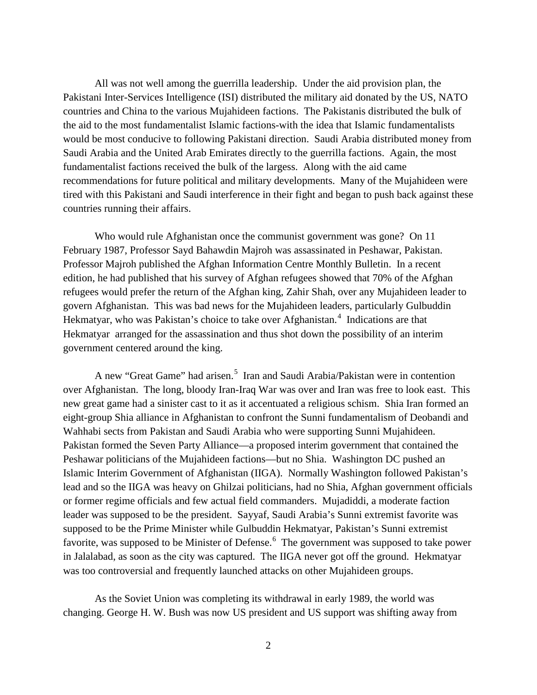All was not well among the guerrilla leadership. Under the aid provision plan, the Pakistani Inter-Services Intelligence (ISI) distributed the military aid donated by the US, NATO countries and China to the various Mujahideen factions. The Pakistanis distributed the bulk of the aid to the most fundamentalist Islamic factions-with the idea that Islamic fundamentalists would be most conducive to following Pakistani direction. Saudi Arabia distributed money from Saudi Arabia and the United Arab Emirates directly to the guerrilla factions. Again, the most fundamentalist factions received the bulk of the largess. Along with the aid came recommendations for future political and military developments. Many of the Mujahideen were tired with this Pakistani and Saudi interference in their fight and began to push back against these countries running their affairs.

Who would rule Afghanistan once the communist government was gone? On 11 February 1987, Professor Sayd Bahawdin Majroh was assassinated in Peshawar, Pakistan. Professor Majroh published the Afghan Information Centre Monthly Bulletin. In a recent edition, he had published that his survey of Afghan refugees showed that 70% of the Afghan refugees would prefer the return of the Afghan king, Zahir Shah, over any Mujahideen leader to govern Afghanistan. This was bad news for the Mujahideen leaders, particularly Gulbuddin Hekmatyar, who was Pakistan's choice to take over Afghanistan.<sup>[4](#page-9-3)</sup> Indications are that Hekmatyar arranged for the assassination and thus shot down the possibility of an interim government centered around the king.

A new "Great Game" had arisen.<sup>[5](#page-9-4)</sup> Iran and Saudi Arabia/Pakistan were in contention over Afghanistan. The long, bloody Iran-Iraq War was over and Iran was free to look east. This new great game had a sinister cast to it as it accentuated a religious schism. Shia Iran formed an eight-group Shia alliance in Afghanistan to confront the Sunni fundamentalism of Deobandi and Wahhabi sects from Pakistan and Saudi Arabia who were supporting Sunni Mujahideen. Pakistan formed the Seven Party Alliance—a proposed interim government that contained the Peshawar politicians of the Mujahideen factions—but no Shia. Washington DC pushed an Islamic Interim Government of Afghanistan (IIGA). Normally Washington followed Pakistan's lead and so the IIGA was heavy on Ghilzai politicians, had no Shia, Afghan government officials or former regime officials and few actual field commanders. Mujadiddi, a moderate faction leader was supposed to be the president. Sayyaf, Saudi Arabia's Sunni extremist favorite was supposed to be the Prime Minister while Gulbuddin Hekmatyar, Pakistan's Sunni extremist favorite, was supposed to be Minister of Defense.<sup>[6](#page-9-5)</sup> The government was supposed to take power in Jalalabad, as soon as the city was captured. The IIGA never got off the ground. Hekmatyar was too controversial and frequently launched attacks on other Mujahideen groups.

As the Soviet Union was completing its withdrawal in early 1989, the world was changing. George H. W. Bush was now US president and US support was shifting away from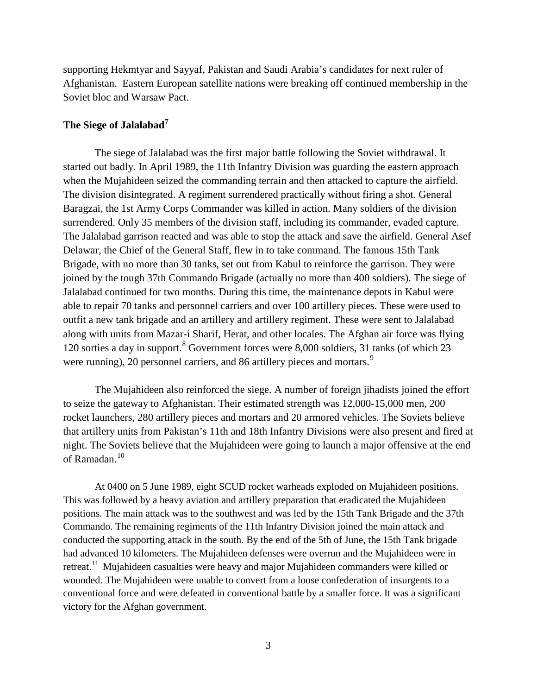supporting Hekmtyar and Sayyaf, Pakistan and Saudi Arabia's candidates for next ruler of Afghanistan. Eastern European satellite nations were breaking off continued membership in the Soviet bloc and Warsaw Pact.

## **The Siege of Jalalabad[7](#page-9-6)**

The siege of Jalalabad was the first major battle following the Soviet withdrawal. It started out badly. In April 1989, the 11th Infantry Division was guarding the eastern approach when the Mujahideen seized the commanding terrain and then attacked to capture the airfield. The division disintegrated. A regiment surrendered practically without firing a shot. General Baragzai, the 1st Army Corps Commander was killed in action. Many soldiers of the division surrendered. Only 35 members of the division staff, including its commander, evaded capture. The Jalalabad garrison reacted and was able to stop the attack and save the airfield. General Asef Delawar, the Chief of the General Staff, flew in to take command. The famous 15th Tank Brigade, with no more than 30 tanks, set out from Kabul to reinforce the garrison. They were joined by the tough 37th Commando Brigade (actually no more than 400 soldiers). The siege of Jalalabad continued for two months. During this time, the maintenance depots in Kabul were able to repair 70 tanks and personnel carriers and over 100 artillery pieces. These were used to outfit a new tank brigade and an artillery and artillery regiment. These were sent to Jalalabad along with units from Mazar-i Sharif, Herat, and other locales. The Afghan air force was flying 120 sorties a day in support.<sup>[8](#page-9-7)</sup> Government forces were 8,000 soldiers, 31 tanks (of which 23 were running), 20 personnel carriers, and 86 artillery pieces and mortars.<sup>[9](#page-9-8)</sup>

The Mujahideen also reinforced the siege. A number of foreign jihadists joined the effort to seize the gateway to Afghanistan. Their estimated strength was 12,000-15,000 men, 200 rocket launchers, 280 artillery pieces and mortars and 20 armored vehicles. The Soviets believe that artillery units from Pakistan's 11th and 18th Infantry Divisions were also present and fired at night. The Soviets believe that the Mujahideen were going to launch a major offensive at the end of Ramadan.<sup>[10](#page-9-9)</sup>

At 0400 on 5 June 1989, eight SCUD rocket warheads exploded on Mujahideen positions. This was followed by a heavy aviation and artillery preparation that eradicated the Mujahideen positions. The main attack was to the southwest and was led by the 15th Tank Brigade and the 37th Commando. The remaining regiments of the 11th Infantry Division joined the main attack and conducted the supporting attack in the south. By the end of the 5th of June, the 15th Tank brigade had advanced 10 kilometers. The Mujahideen defenses were overrun and the Mujahideen were in retreat.<sup>[11](#page-9-10)</sup> Mujahideen casualties were heavy and major Mujahideen commanders were killed or wounded. The Mujahideen were unable to convert from a loose confederation of insurgents to a conventional force and were defeated in conventional battle by a smaller force. It was a significant victory for the Afghan government.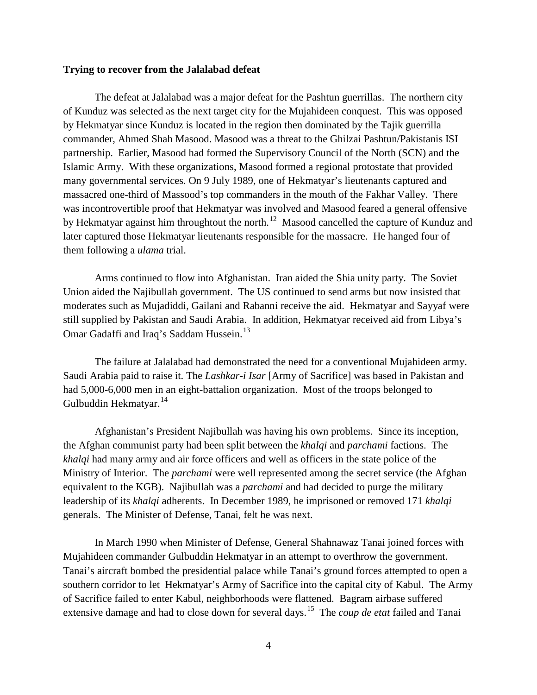## **Trying to recover from the Jalalabad defeat**

The defeat at Jalalabad was a major defeat for the Pashtun guerrillas. The northern city of Kunduz was selected as the next target city for the Mujahideen conquest. This was opposed by Hekmatyar since Kunduz is located in the region then dominated by the Tajik guerrilla commander, Ahmed Shah Masood. Masood was a threat to the Ghilzai Pashtun/Pakistanis ISI partnership. Earlier, Masood had formed the Supervisory Council of the North (SCN) and the Islamic Army. With these organizations, Masood formed a regional protostate that provided many governmental services. On 9 July 1989, one of Hekmatyar's lieutenants captured and massacred one-third of Massood's top commanders in the mouth of the Fakhar Valley. There was incontrovertible proof that Hekmatyar was involved and Masood feared a general offensive by Hekmatyar against him throughtout the north.<sup>12</sup> Masood cancelled the capture of Kunduz and later captured those Hekmatyar lieutenants responsible for the massacre. He hanged four of them following a *ulama* trial.

Arms continued to flow into Afghanistan. Iran aided the Shia unity party. The Soviet Union aided the Najibullah government. The US continued to send arms but now insisted that moderates such as Mujadiddi, Gailani and Rabanni receive the aid. Hekmatyar and Sayyaf were still supplied by Pakistan and Saudi Arabia. In addition, Hekmatyar received aid from Libya's Omar Gadaffi and Iraq's Saddam Hussein.<sup>[13](#page-9-12)</sup>

The failure at Jalalabad had demonstrated the need for a conventional Mujahideen army. Saudi Arabia paid to raise it. The *Lashkar-i Isar* [Army of Sacrifice] was based in Pakistan and had 5,000-6,000 men in an eight-battalion organization. Most of the troops belonged to Gulbuddin Hekmatyar.<sup>[14](#page-9-13)</sup>

Afghanistan's President Najibullah was having his own problems. Since its inception, the Afghan communist party had been split between the *khalqi* and *parchami* factions. The *khalqi* had many army and air force officers and well as officers in the state police of the Ministry of Interior. The *parchami* were well represented among the secret service (the Afghan equivalent to the KGB). Najibullah was a *parchami* and had decided to purge the military leadership of its *khalqi* adherents. In December 1989, he imprisoned or removed 171 *khalqi* generals. The Minister of Defense, Tanai, felt he was next.

In March 1990 when Minister of Defense, General Shahnawaz Tanai joined forces with Mujahideen commander Gulbuddin Hekmatyar in an attempt to overthrow the government. Tanai's aircraft bombed the presidential palace while Tanai's ground forces attempted to open a southern corridor to let Hekmatyar's Army of Sacrifice into the capital city of Kabul. The Army of Sacrifice failed to enter Kabul, neighborhoods were flattened. Bagram airbase suffered extensive damage and had to close down for several days.[15](#page-9-14) The *coup de etat* failed and Tanai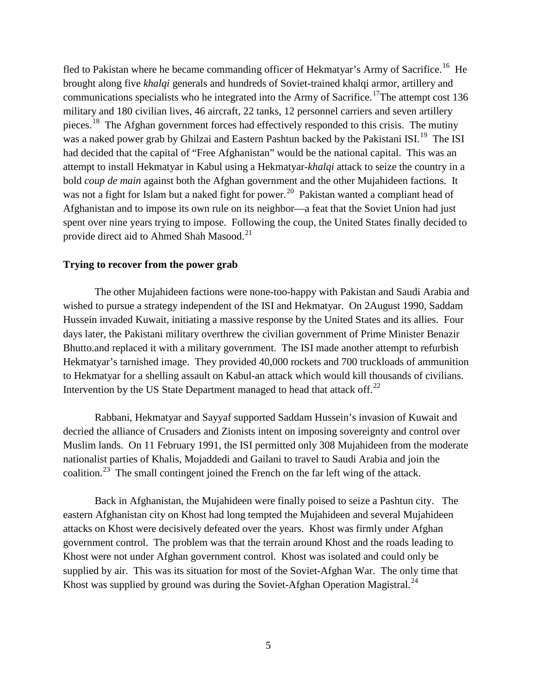fled to Pakistan where he became commanding officer of Hekmatyar's Army of Sacrifice.<sup>[16](#page-9-15)</sup> He brought along five *khalqi* generals and hundreds of Soviet-trained khalqi armor, artillery and communications specialists who he integrated into the Army of Sacrifice.<sup>[17](#page-9-16)</sup>The attempt cost 136 military and 180 civilian lives, 46 aircraft, 22 tanks, 12 personnel carriers and seven artillery pieces.<sup>[18](#page-9-17)</sup> The Afghan government forces had effectively responded to this crisis. The mutiny was a naked power grab by Ghilzai and Eastern Pashtun backed by the Pakistani ISI.<sup>[19](#page-9-18)</sup> The ISI had decided that the capital of "Free Afghanistan" would be the national capital. This was an attempt to install Hekmatyar in Kabul using a Hekmatyar-*khalqi* attack to seize the country in a bold *coup de main* against both the Afghan government and the other Mujahideen factions. It was not a fight for Islam but a naked fight for power.<sup>[20](#page-9-19)</sup> Pakistan wanted a compliant head of Afghanistan and to impose its own rule on its neighbor—a feat that the Soviet Union had just spent over nine years trying to impose. Following the coup, the United States finally decided to provide direct aid to Ahmed Shah Masood.<sup>21</sup>

## **Trying to recover from the power grab**

The other Mujahideen factions were none-too-happy with Pakistan and Saudi Arabia and wished to pursue a strategy independent of the ISI and Hekmatyar. On 2August 1990, Saddam Hussein invaded Kuwait, initiating a massive response by the United States and its allies. Four days later, the Pakistani military overthrew the civilian government of Prime Minister Benazir Bhutto.and replaced it with a military government. The ISI made another attempt to refurbish Hekmatyar's tarnished image. They provided 40,000 rockets and 700 truckloads of ammunition to Hekmatyar for a shelling assault on Kabul-an attack which would kill thousands of civilians. Intervention by the US State Department managed to head that attack off.<sup>22</sup>

Rabbani, Hekmatyar and Sayyaf supported Saddam Hussein's invasion of Kuwait and decried the alliance of Crusaders and Zionists intent on imposing sovereignty and control over Muslim lands. On 11 February 1991, the ISI permitted only 308 Mujahideen from the moderate nationalist parties of Khalis, Mojaddedi and Gailani to travel to Saudi Arabia and join the coalition.<sup>23</sup> The small contingent joined the French on the far left wing of the attack.

Back in Afghanistan, the Mujahideen were finally poised to seize a Pashtun city. The eastern Afghanistan city on Khost had long tempted the Mujahideen and several Mujahideen attacks on Khost were decisively defeated over the years. Khost was firmly under Afghan government control. The problem was that the terrain around Khost and the roads leading to Khost were not under Afghan government control. Khost was isolated and could only be supplied by air. This was its situation for most of the Soviet-Afghan War. The only time that Khost was supplied by ground was during the Soviet-Afghan Operation Magistral.<sup>[24](#page-9-23)</sup>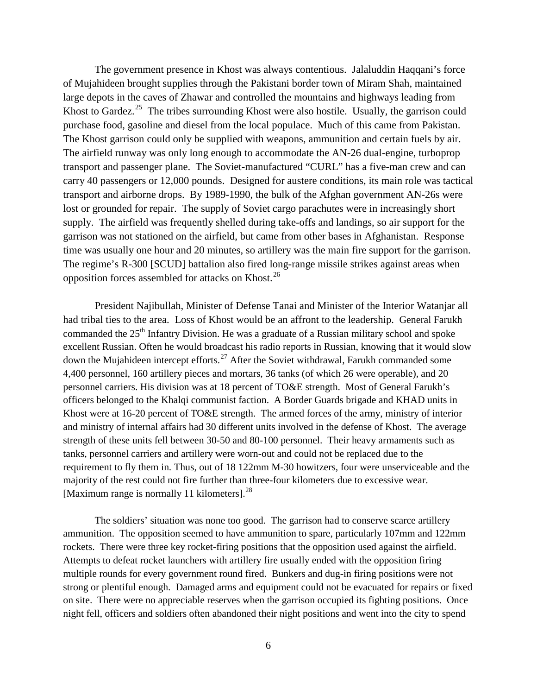The government presence in Khost was always contentious. Jalaluddin Haqqani's force of Mujahideen brought supplies through the Pakistani border town of Miram Shah, maintained large depots in the caves of Zhawar and controlled the mountains and highways leading from Khost to Gardez.<sup>[25](#page-9-24)</sup> The tribes surrounding Khost were also hostile. Usually, the garrison could purchase food, gasoline and diesel from the local populace. Much of this came from Pakistan. The Khost garrison could only be supplied with weapons, ammunition and certain fuels by air. The airfield runway was only long enough to accommodate the AN-26 dual-engine, turboprop transport and passenger plane. The Soviet-manufactured "CURL" has a five-man crew and can carry 40 passengers or 12,000 pounds. Designed for austere conditions, its main role was tactical transport and airborne drops. By 1989-1990, the bulk of the Afghan government AN-26s were lost or grounded for repair. The supply of Soviet cargo parachutes were in increasingly short supply. The airfield was frequently shelled during take-offs and landings, so air support for the garrison was not stationed on the airfield, but came from other bases in Afghanistan. Response time was usually one hour and 20 minutes, so artillery was the main fire support for the garrison. The regime's R-300 [SCUD] battalion also fired long-range missile strikes against areas when opposition forces assembled for attacks on Khost.[26](#page-9-25)

President Najibullah, Minister of Defense Tanai and Minister of the Interior Watanjar all had tribal ties to the area. Loss of Khost would be an affront to the leadership. General Farukh commanded the 25<sup>th</sup> Infantry Division. He was a graduate of a Russian military school and spoke excellent Russian. Often he would broadcast his radio reports in Russian, knowing that it would slow down the Mujahideen intercept efforts.<sup>[27](#page-9-26)</sup> After the Soviet withdrawal, Farukh commanded some 4,400 personnel, 160 artillery pieces and mortars, 36 tanks (of which 26 were operable), and 20 personnel carriers. His division was at 18 percent of TO&E strength. Most of General Farukh's officers belonged to the Khalqi communist faction. A Border Guards brigade and KHAD units in Khost were at 16-20 percent of TO&E strength. The armed forces of the army, ministry of interior and ministry of internal affairs had 30 different units involved in the defense of Khost. The average strength of these units fell between 30-50 and 80-100 personnel. Their heavy armaments such as tanks, personnel carriers and artillery were worn-out and could not be replaced due to the requirement to fly them in. Thus, out of 18 122mm M-30 howitzers, four were unserviceable and the majority of the rest could not fire further than three-four kilometers due to excessive wear. [Maximum range is normally 11 kilometers].<sup>28</sup>

The soldiers' situation was none too good. The garrison had to conserve scarce artillery ammunition. The opposition seemed to have ammunition to spare, particularly 107mm and 122mm rockets. There were three key rocket-firing positions that the opposition used against the airfield. Attempts to defeat rocket launchers with artillery fire usually ended with the opposition firing multiple rounds for every government round fired. Bunkers and dug-in firing positions were not strong or plentiful enough. Damaged arms and equipment could not be evacuated for repairs or fixed on site. There were no appreciable reserves when the garrison occupied its fighting positions. Once night fell, officers and soldiers often abandoned their night positions and went into the city to spend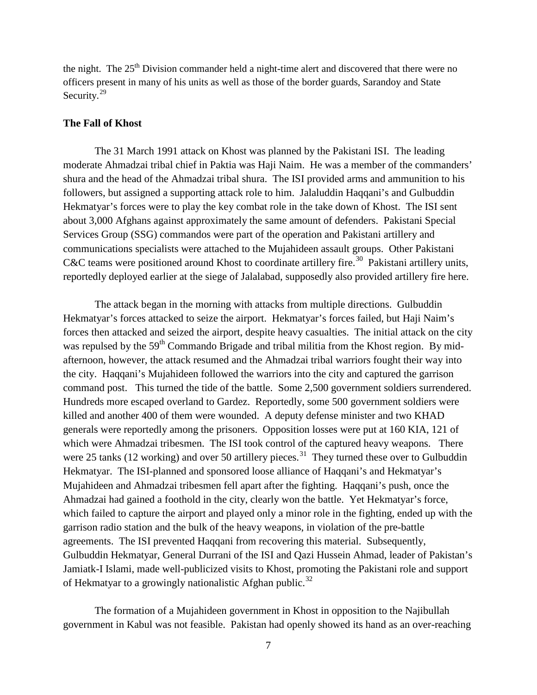the night. The 25<sup>th</sup> Division commander held a night-time alert and discovered that there were no officers present in many of his units as well as those of the border guards, Sarandoy and State Security.<sup>[29](#page-9-28)</sup>

#### **The Fall of Khost**

The 31 March 1991 attack on Khost was planned by the Pakistani ISI. The leading moderate Ahmadzai tribal chief in Paktia was Haji Naim. He was a member of the commanders' shura and the head of the Ahmadzai tribal shura. The ISI provided arms and ammunition to his followers, but assigned a supporting attack role to him. Jalaluddin Haqqani's and Gulbuddin Hekmatyar's forces were to play the key combat role in the take down of Khost. The ISI sent about 3,000 Afghans against approximately the same amount of defenders. Pakistani Special Services Group (SSG) commandos were part of the operation and Pakistani artillery and communications specialists were attached to the Mujahideen assault groups. Other Pakistani C&C teams were positioned around Khost to coordinate artillery fire.<sup>[30](#page-9-29)</sup> Pakistani artillery units, reportedly deployed earlier at the siege of Jalalabad, supposedly also provided artillery fire here.

The attack began in the morning with attacks from multiple directions. Gulbuddin Hekmatyar's forces attacked to seize the airport. Hekmatyar's forces failed, but Haji Naim's forces then attacked and seized the airport, despite heavy casualties. The initial attack on the city was repulsed by the 59<sup>th</sup> Commando Brigade and tribal militia from the Khost region. By midafternoon, however, the attack resumed and the Ahmadzai tribal warriors fought their way into the city. Haqqani's Mujahideen followed the warriors into the city and captured the garrison command post. This turned the tide of the battle. Some 2,500 government soldiers surrendered. Hundreds more escaped overland to Gardez. Reportedly, some 500 government soldiers were killed and another 400 of them were wounded. A deputy defense minister and two KHAD generals were reportedly among the prisoners. Opposition losses were put at 160 KIA, 121 of which were Ahmadzai tribesmen. The ISI took control of the captured heavy weapons. There were 25 tanks (12 working) and over 50 artillery pieces.<sup>31</sup> They turned these over to Gulbuddin Hekmatyar. The ISI-planned and sponsored loose alliance of Haqqani's and Hekmatyar's Mujahideen and Ahmadzai tribesmen fell apart after the fighting. Haqqani's push, once the Ahmadzai had gained a foothold in the city, clearly won the battle. Yet Hekmatyar's force, which failed to capture the airport and played only a minor role in the fighting, ended up with the garrison radio station and the bulk of the heavy weapons, in violation of the pre-battle agreements. The ISI prevented Haqqani from recovering this material. Subsequently, Gulbuddin Hekmatyar, General Durrani of the ISI and Qazi Hussein Ahmad, leader of Pakistan's Jamiatk-I Islami, made well-publicized visits to Khost, promoting the Pakistani role and support of Hekmatyar to a growingly nationalistic Afghan public.<sup>[32](#page-9-31)</sup>

The formation of a Mujahideen government in Khost in opposition to the Najibullah government in Kabul was not feasible. Pakistan had openly showed its hand as an over-reaching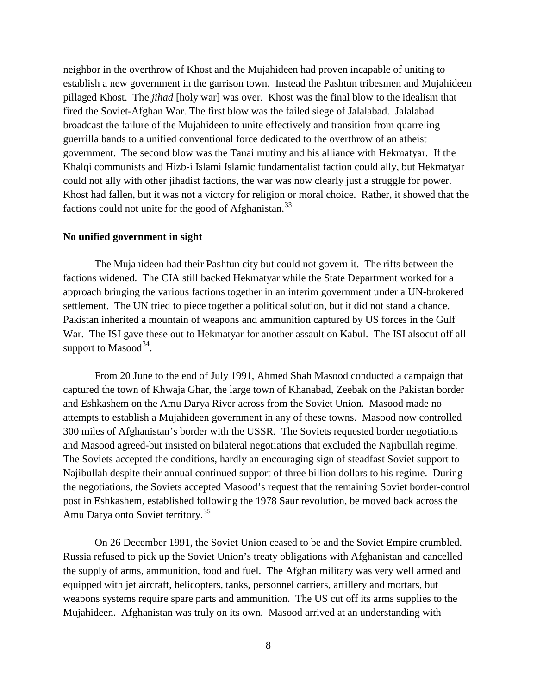neighbor in the overthrow of Khost and the Mujahideen had proven incapable of uniting to establish a new government in the garrison town. Instead the Pashtun tribesmen and Mujahideen pillaged Khost. The *jihad* [holy war] was over. Khost was the final blow to the idealism that fired the Soviet-Afghan War. The first blow was the failed siege of Jalalabad. Jalalabad broadcast the failure of the Mujahideen to unite effectively and transition from quarreling guerrilla bands to a unified conventional force dedicated to the overthrow of an atheist government. The second blow was the Tanai mutiny and his alliance with Hekmatyar. If the Khalqi communists and Hizb-i Islami Islamic fundamentalist faction could ally, but Hekmatyar could not ally with other jihadist factions, the war was now clearly just a struggle for power. Khost had fallen, but it was not a victory for religion or moral choice. Rather, it showed that the factions could not unite for the good of Afghanistan.<sup>[33](#page-9-32)</sup>

#### **No unified government in sight**

The Mujahideen had their Pashtun city but could not govern it. The rifts between the factions widened. The CIA still backed Hekmatyar while the State Department worked for a approach bringing the various factions together in an interim government under a UN-brokered settlement. The UN tried to piece together a political solution, but it did not stand a chance. Pakistan inherited a mountain of weapons and ammunition captured by US forces in the Gulf War. The ISI gave these out to Hekmatyar for another assault on Kabul. The ISI alsocut off all support to Masood<sup>34</sup>.

From 20 June to the end of July 1991, Ahmed Shah Masood conducted a campaign that captured the town of Khwaja Ghar, the large town of Khanabad, Zeebak on the Pakistan border and Eshkashem on the Amu Darya River across from the Soviet Union. Masood made no attempts to establish a Mujahideen government in any of these towns. Masood now controlled 300 miles of Afghanistan's border with the USSR. The Soviets requested border negotiations and Masood agreed-but insisted on bilateral negotiations that excluded the Najibullah regime. The Soviets accepted the conditions, hardly an encouraging sign of steadfast Soviet support to Najibullah despite their annual continued support of three billion dollars to his regime. During the negotiations, the Soviets accepted Masood's request that the remaining Soviet border-control post in Eshkashem, established following the 1978 Saur revolution, be moved back across the Amu Darya onto Soviet territory.<sup>[35](#page-9-34)</sup>

On 26 December 1991, the Soviet Union ceased to be and the Soviet Empire crumbled. Russia refused to pick up the Soviet Union's treaty obligations with Afghanistan and cancelled the supply of arms, ammunition, food and fuel. The Afghan military was very well armed and equipped with jet aircraft, helicopters, tanks, personnel carriers, artillery and mortars, but weapons systems require spare parts and ammunition. The US cut off its arms supplies to the Mujahideen. Afghanistan was truly on its own. Masood arrived at an understanding with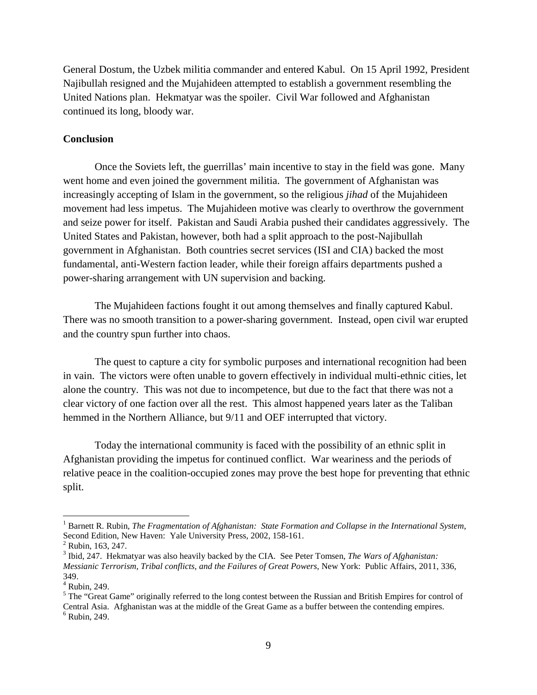General Dostum, the Uzbek militia commander and entered Kabul. On 15 April 1992, President Najibullah resigned and the Mujahideen attempted to establish a government resembling the United Nations plan. Hekmatyar was the spoiler. Civil War followed and Afghanistan continued its long, bloody war.

# **Conclusion**

Once the Soviets left, the guerrillas' main incentive to stay in the field was gone. Many went home and even joined the government militia. The government of Afghanistan was increasingly accepting of Islam in the government, so the religious *jihad* of the Mujahideen movement had less impetus. The Mujahideen motive was clearly to overthrow the government and seize power for itself. Pakistan and Saudi Arabia pushed their candidates aggressively. The United States and Pakistan, however, both had a split approach to the post-Najibullah government in Afghanistan. Both countries secret services (ISI and CIA) backed the most fundamental, anti-Western faction leader, while their foreign affairs departments pushed a power-sharing arrangement with UN supervision and backing.

The Mujahideen factions fought it out among themselves and finally captured Kabul. There was no smooth transition to a power-sharing government. Instead, open civil war erupted and the country spun further into chaos.

The quest to capture a city for symbolic purposes and international recognition had been in vain. The victors were often unable to govern effectively in individual multi-ethnic cities, let alone the country. This was not due to incompetence, but due to the fact that there was not a clear victory of one faction over all the rest. This almost happened years later as the Taliban hemmed in the Northern Alliance, but 9/11 and OEF interrupted that victory.

Today the international community is faced with the possibility of an ethnic split in Afghanistan providing the impetus for continued conflict. War weariness and the periods of relative peace in the coalition-occupied zones may prove the best hope for preventing that ethnic split.

 $\overline{a}$ 

<sup>1</sup> Barnett R. Rubin, *The Fragmentation of Afghanistan: State Formation and Collapse in the International System*, Second Edition, New Haven: Yale University Press, 2002, 158-161.<br><sup>2</sup> Rubin, 163, 247. <br><sup>3</sup> Ibid, 247. Hekmatyar was also heavily backed by the CIA. See Peter Tomsen, *The Wars of Afghanistan:* 

*Messianic Terrorism, Tribal conflicts, and the Failures of Great Powers*, New York: Public Affairs, 2011, 336, 349.

<sup>4</sup> Rubin, 249.

<sup>&</sup>lt;sup>5</sup> The "Great Game" originally referred to the long contest between the Russian and British Empires for control of Central Asia. Afghanistan was at the middle of the Great Game as a buffer between the contending empires.  $<sup>6</sup>$  Rubin, 249.</sup>